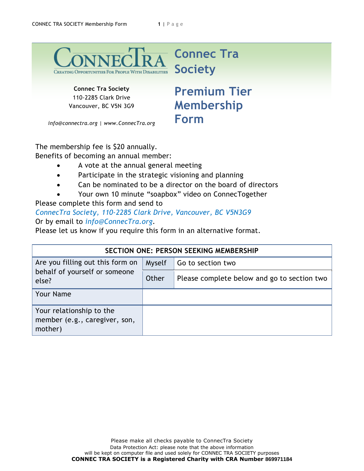

**Connec Tra Society** 110-2285 Clark Drive Vancouver, BC V5N 3G9

## **Premium Tier Form**

*info@connectra.org | www.ConnecTra.org*

The membership fee is \$20 annually. Benefits of becoming an annual member:

- A vote at the annual general meeting
- Participate in the strategic visioning and planning
- Can be nominated to be a director on the board of directors
- Your own 10 minute "soapbox" video on ConnecTogether

Please complete this form and send to

*ConnecTra Society, 110-2285 Clark Drive, Vancouver, BC V5N3G9*  Or by email to *info@ConnecTra.org*.

Please let us know if you require this form in an alternative format.

| <b>SECTION ONE: PERSON SEEKING MEMBERSHIP</b>                              |        |                                             |  |  |
|----------------------------------------------------------------------------|--------|---------------------------------------------|--|--|
| Are you filling out this form on<br>behalf of yourself or someone<br>else? | Myself | Go to section two                           |  |  |
|                                                                            | Other  | Please complete below and go to section two |  |  |
| <b>Your Name</b>                                                           |        |                                             |  |  |
| Your relationship to the<br>member (e.g., caregiver, son,<br>mother)       |        |                                             |  |  |

**Membership**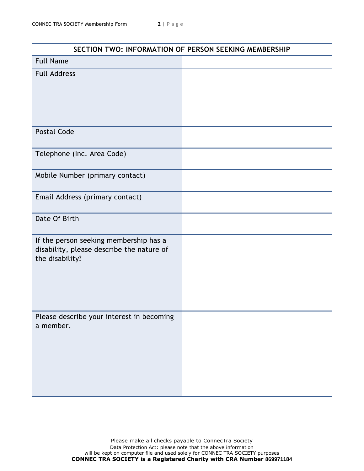| SECTION TWO: INFORMATION OF PERSON SEEKING MEMBERSHIP                                                  |  |  |
|--------------------------------------------------------------------------------------------------------|--|--|
| <b>Full Name</b>                                                                                       |  |  |
| <b>Full Address</b>                                                                                    |  |  |
| <b>Postal Code</b>                                                                                     |  |  |
| Telephone (Inc. Area Code)                                                                             |  |  |
| Mobile Number (primary contact)                                                                        |  |  |
| Email Address (primary contact)                                                                        |  |  |
| Date Of Birth                                                                                          |  |  |
| If the person seeking membership has a<br>disability, please describe the nature of<br>the disability? |  |  |
| Please describe your interest in becoming<br>a member.                                                 |  |  |